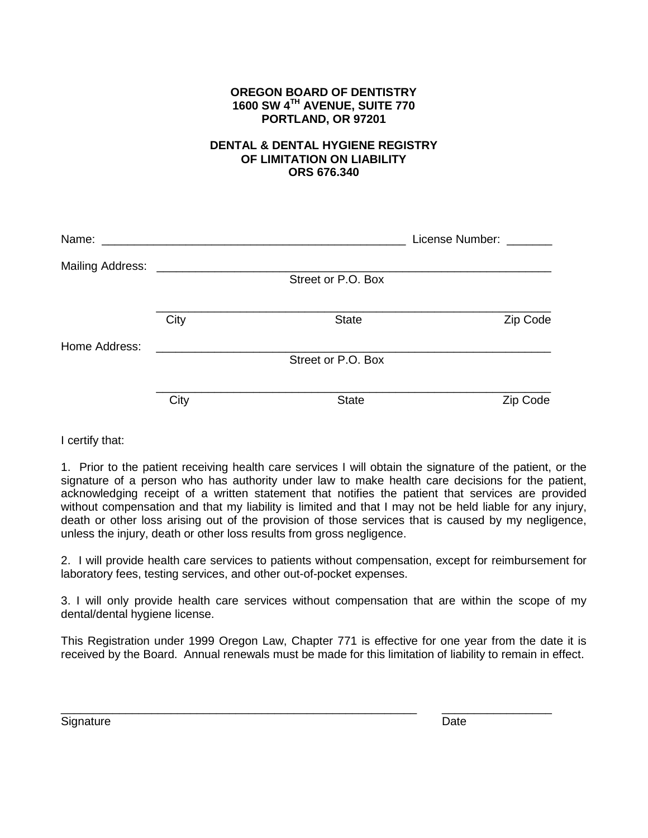## **OREGON BOARD OF DENTISTRY 1600 SW 4TH AVENUE, SUITE 770 PORTLAND, OR 97201**

## **DENTAL & DENTAL HYGIENE REGISTRY OF LIMITATION ON LIABILITY ORS 676.340**

| Name:                   | <u> 1980 - Jan Samuel Barbara, margaret e populari e populari e populari e populari e populari e populari e popu</u> |                    | License Number: |
|-------------------------|----------------------------------------------------------------------------------------------------------------------|--------------------|-----------------|
| <b>Mailing Address:</b> |                                                                                                                      |                    |                 |
|                         |                                                                                                                      | Street or P.O. Box |                 |
|                         | City                                                                                                                 | <b>State</b>       | Zip Code        |
| Home Address:           |                                                                                                                      |                    |                 |
|                         |                                                                                                                      | Street or P.O. Box |                 |
|                         |                                                                                                                      |                    |                 |
|                         | City                                                                                                                 | <b>State</b>       | Zip Code        |

I certify that:

1. Prior to the patient receiving health care services I will obtain the signature of the patient, or the signature of a person who has authority under law to make health care decisions for the patient, acknowledging receipt of a written statement that notifies the patient that services are provided without compensation and that my liability is limited and that I may not be held liable for any injury, death or other loss arising out of the provision of those services that is caused by my negligence, unless the injury, death or other loss results from gross negligence.

2. I will provide health care services to patients without compensation, except for reimbursement for laboratory fees, testing services, and other out-of-pocket expenses.

3. I will only provide health care services without compensation that are within the scope of my dental/dental hygiene license.

This Registration under 1999 Oregon Law, Chapter 771 is effective for one year from the date it is received by the Board. Annual renewals must be made for this limitation of liability to remain in effect.

\_\_\_\_\_\_\_\_\_\_\_\_\_\_\_\_\_\_\_\_\_\_\_\_\_\_\_\_\_\_\_\_\_\_\_\_\_\_\_\_\_\_\_\_\_\_\_\_\_\_\_\_\_\_\_ \_\_\_\_\_\_\_\_\_\_\_\_\_\_\_\_\_

Signature Date Date Communication of the Date Date Date Date